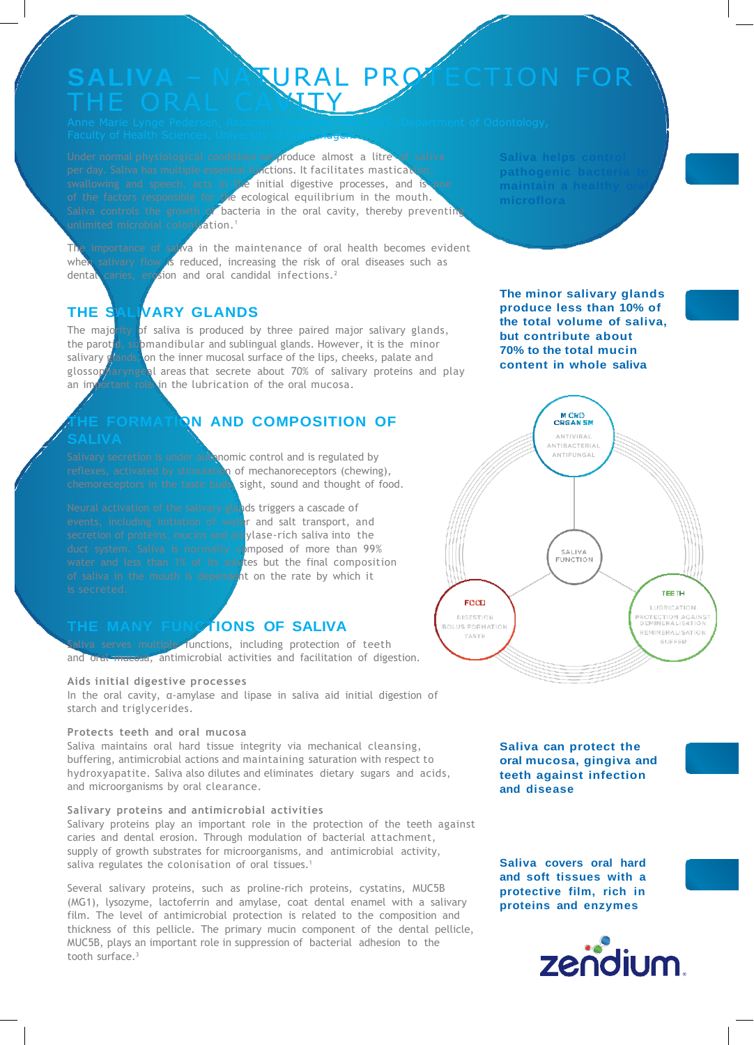# SALIVA – NATURAL PROTECTION FOR

**Faculty of Health Sciences, University of Copenhagen.** 

Under normal physiological conditions we produce almost a litre of saliva per day. Saliva has multiple essential functions. It facilitates mastication, swallowing and speech, acts in the initial digestive processes, and is one of the factors responsible for the ecological equilibrium in the mouth. Saliva controls the growth of bacteria in the oral cavity, thereby preventing unlimited microbial colonisation.<sup>1</sup>

The importance of saliva in the maintenance of oral health becomes evident when salivary flow is reduced, increasing the risk of oral diseases such as dental caries, erosion and oral candidal infections.<sup>2</sup>

# **THE SALIVARY GLANDS**

The majority of saliva is produced by three paired major salivary glands, the parotid, submandibular and sublingual glands. However, it is the minor salivary glands, on the inner mucosal surface of the lips, cheeks, palate and glossop aryngeal areas that secrete about 70% of salivary proteins and play an important role in the lubrication of the oral mucosa.

# **THE FORMATION AND COMPOSITION OF**

Salivary secretion is under autonomic control and is regulated by reflexes, activated by stimulation of mechanoreceptors (chewing), chemoreceptors in the taste buds, sight, sound and thought of food.

Neural activation of the salivary glands triggers a cascade of events, including initiation of water and salt transport, and secretion of proteins, mucins and amylase-rich saliva into the duct system. Saliva is normally composed of more than 99% water and less than 1% of its solutes but the final composition of saliva in the mouth is dependent on the rate by which it

# **THE MANY FUNCTIONS OF SALIVA**

s multiple functions, including protection of teeth and oral mucosa, antimicrobial activities and facilitation of digestion.

#### **Aids initial digestive processes**

In the oral cavity, α-amylase and lipase in saliva aid initial digestion of starch and triglycerides.

#### **Protects teeth and oral mucosa**

Saliva maintains oral hard tissue integrity via mechanical cleansing, buffering, antimicrobial actions and maintaining saturation with respect to hydroxyapatite. Saliva also dilutes and eliminates dietary sugars and acids, and microorganisms by oral clearance.

#### **Salivary proteins and antimicrobial activities**

Salivary proteins play an important role in the protection of the teeth against caries and dental erosion. Through modulation of bacterial attachment, supply of growth substrates for microorganisms, and antimicrobial activity, saliva regulates the colonisation of oral tissues.<sup>1</sup>

Several salivary proteins, such as proline-rich proteins, cystatins, MUC5B (MG1), lysozyme, lactoferrin and amylase, coat dental enamel with a salivary film. The level of antimicrobial protection is related to the composition and thickness of this pellicle. The primary mucin component of the dental pellicle, MUC5B, plays an important role in suppression of bacterial adhesion to the tooth surface.<sup>3</sup>

**Saliva** helps co pathogenic bac

**The minor salivary glands produce less than 10% of the total volume of saliva, but contribute about 70% to the total mucin content in whole saliva**



**Saliva can protect the oral mucosa, gingiva and teeth against infection and disease**

**Saliva covers oral hard and soft tissues with a protective film, rich in proteins and enzymes**